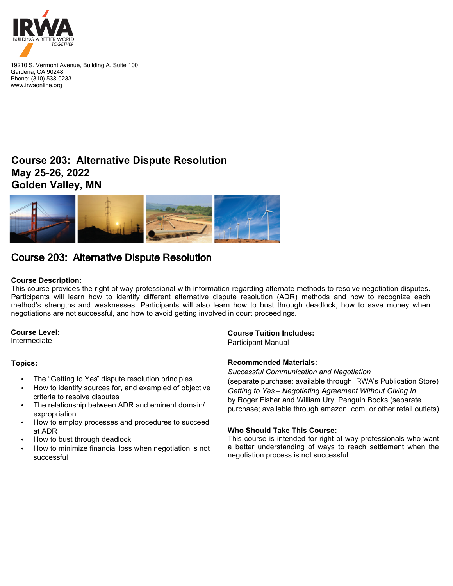

19210 S. Vermont Avenue, Building A, Suite 100 Gardena, CA 90248 Phone: (310) 538-0233 www.irwaonline.org

## **Course 203: Alternative Dispute Resolution May 25-26, 2022 Golden Valley, MN**



# Course 203: Alternative Dispute Resolution

### **Course Description:**

This course provides the right of way professional with information regarding alternate methods to resolve negotiation disputes. Participants will learn how to identify different alternative dispute resolution (ADR) methods and how to recognize each method's strengths and weaknesses. Participants will also learn how to bust through deadlock, how to save money when negotiations are not successful, and how to avoid getting involved in court proceedings.

### **Course Level:**

Intermediate

### **Topics:**

- The "Getting to Yes" dispute resolution principles
- How to identify sources for, and exampled of objective criteria to resolve disputes
- The relationship between ADR and eminent domain/ expropriation
- How to employ processes and procedures to succeed at ADR
- How to bust through deadlock
- How to minimize financial loss when negotiation is not successful

### **Course Tuition Includes:**

Participant Manual

### **Recommended Materials:**

*Successful Communication and Negotiation*

(separate purchase; available through IRWA's Publication Store) *Getting to Yes – Negotiating Agreement Without Giving In* by Roger Fisher and William Ury, Penguin Books (separate purchase; available through amazon. com, or other retail outlets)

### **Who Should Take This Course:**

This course is intended for right of way professionals who want a better understanding of ways to reach settlement when the negotiation process is not successful.